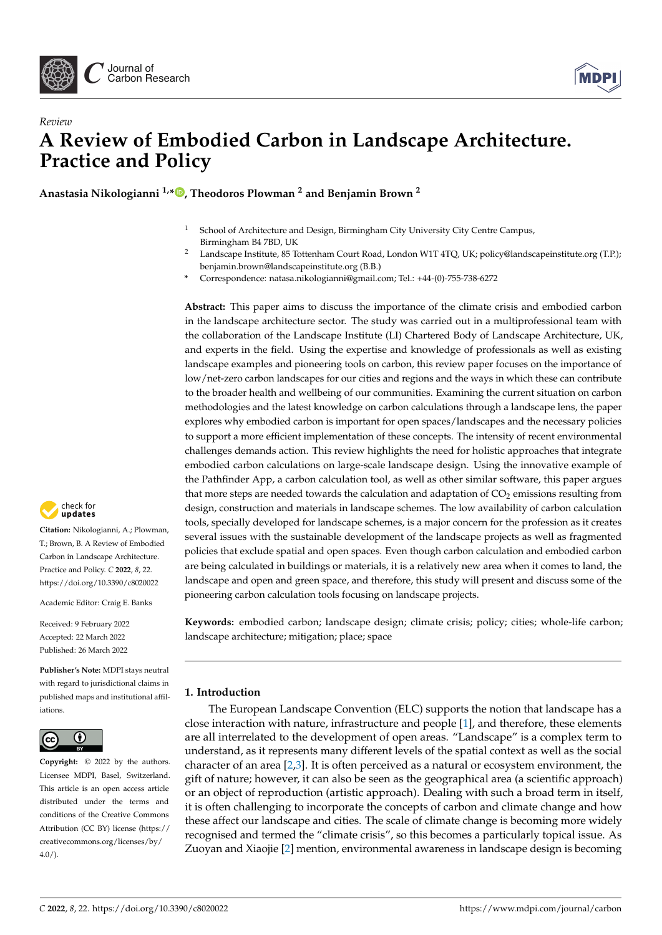



# *Review* **A Review of Embodied Carbon in Landscape Architecture. Practice and Policy**

**Anastasia Nikologianni 1,[\\*](https://orcid.org/0000-0002-2234-4707) , Theodoros Plowman <sup>2</sup> and Benjamin Brown <sup>2</sup>**

- <sup>1</sup> School of Architecture and Design, Birmingham City University City Centre Campus, Birmingham B4 7BD, UK
- <sup>2</sup> Landscape Institute, 85 Tottenham Court Road, London W1T 4TQ, UK; policy@landscapeinstitute.org (T.P.); benjamin.brown@landscapeinstitute.org (B.B.)
- **\*** Correspondence: natasa.nikologianni@gmail.com; Tel.: +44-(0)-755-738-6272

**Abstract:** This paper aims to discuss the importance of the climate crisis and embodied carbon in the landscape architecture sector. The study was carried out in a multiprofessional team with the collaboration of the Landscape Institute (LI) Chartered Body of Landscape Architecture, UK, and experts in the field. Using the expertise and knowledge of professionals as well as existing landscape examples and pioneering tools on carbon, this review paper focuses on the importance of low/net-zero carbon landscapes for our cities and regions and the ways in which these can contribute to the broader health and wellbeing of our communities. Examining the current situation on carbon methodologies and the latest knowledge on carbon calculations through a landscape lens, the paper explores why embodied carbon is important for open spaces/landscapes and the necessary policies to support a more efficient implementation of these concepts. The intensity of recent environmental challenges demands action. This review highlights the need for holistic approaches that integrate embodied carbon calculations on large-scale landscape design. Using the innovative example of the Pathfinder App, a carbon calculation tool, as well as other similar software, this paper argues that more steps are needed towards the calculation and adaptation of  $CO<sub>2</sub>$  emissions resulting from design, construction and materials in landscape schemes. The low availability of carbon calculation tools, specially developed for landscape schemes, is a major concern for the profession as it creates several issues with the sustainable development of the landscape projects as well as fragmented policies that exclude spatial and open spaces. Even though carbon calculation and embodied carbon are being calculated in buildings or materials, it is a relatively new area when it comes to land, the landscape and open and green space, and therefore, this study will present and discuss some of the pioneering carbon calculation tools focusing on landscape projects.

**Keywords:** embodied carbon; landscape design; climate crisis; policy; cities; whole-life carbon; landscape architecture; mitigation; place; space

# **1. Introduction**

The European Landscape Convention (ELC) supports the notion that landscape has a close interaction with nature, infrastructure and people [\[1\]](#page-13-0), and therefore, these elements are all interrelated to the development of open areas. "Landscape" is a complex term to understand, as it represents many different levels of the spatial context as well as the social character of an area [\[2,](#page-13-1)[3\]](#page-13-2). It is often perceived as a natural or ecosystem environment, the gift of nature; however, it can also be seen as the geographical area (a scientific approach) or an object of reproduction (artistic approach). Dealing with such a broad term in itself, it is often challenging to incorporate the concepts of carbon and climate change and how these affect our landscape and cities. The scale of climate change is becoming more widely recognised and termed the "climate crisis", so this becomes a particularly topical issue. As Zuoyan and Xiaojie [\[2\]](#page-13-1) mention, environmental awareness in landscape design is becoming



**Citation:** Nikologianni, A.; Plowman, T.; Brown, B. A Review of Embodied Carbon in Landscape Architecture. Practice and Policy. *C* **2022**, *8*, 22. <https://doi.org/10.3390/c8020022>

Academic Editor: Craig E. Banks

Received: 9 February 2022 Accepted: 22 March 2022 Published: 26 March 2022

**Publisher's Note:** MDPI stays neutral with regard to jurisdictional claims in published maps and institutional affiliations.



**Copyright:** © 2022 by the authors. Licensee MDPI, Basel, Switzerland. This article is an open access article distributed under the terms and conditions of the Creative Commons Attribution (CC BY) license [\(https://](https://creativecommons.org/licenses/by/4.0/) [creativecommons.org/licenses/by/](https://creativecommons.org/licenses/by/4.0/)  $4.0/$ ).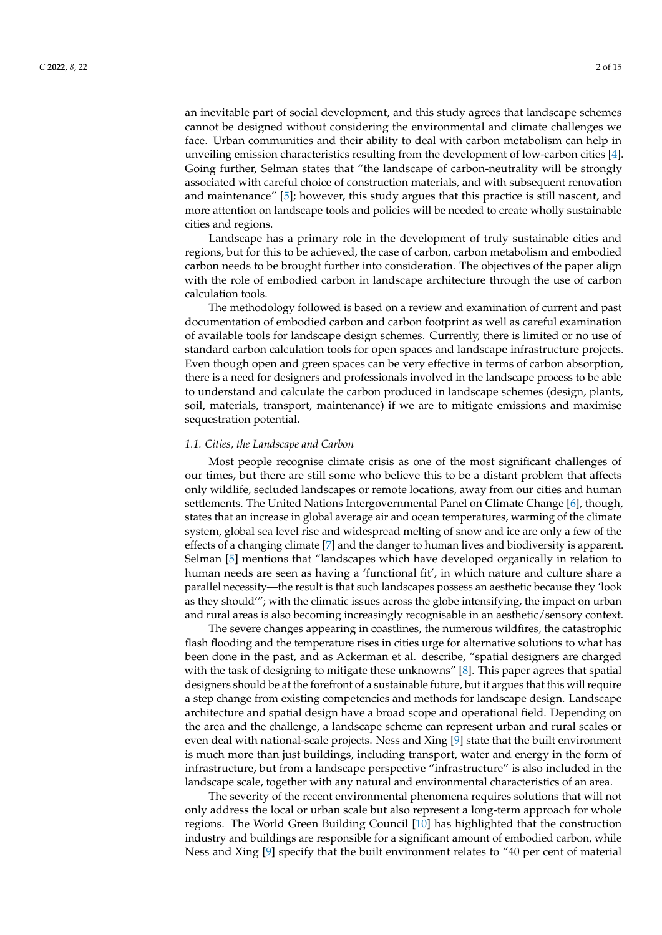an inevitable part of social development, and this study agrees that landscape schemes cannot be designed without considering the environmental and climate challenges we face. Urban communities and their ability to deal with carbon metabolism can help in unveiling emission characteristics resulting from the development of low-carbon cities [\[4\]](#page-13-3). Going further, Selman states that "the landscape of carbon-neutrality will be strongly associated with careful choice of construction materials, and with subsequent renovation and maintenance" [\[5\]](#page-13-4); however, this study argues that this practice is still nascent, and more attention on landscape tools and policies will be needed to create wholly sustainable cities and regions.

Landscape has a primary role in the development of truly sustainable cities and regions, but for this to be achieved, the case of carbon, carbon metabolism and embodied carbon needs to be brought further into consideration. The objectives of the paper align with the role of embodied carbon in landscape architecture through the use of carbon calculation tools.

The methodology followed is based on a review and examination of current and past documentation of embodied carbon and carbon footprint as well as careful examination of available tools for landscape design schemes. Currently, there is limited or no use of standard carbon calculation tools for open spaces and landscape infrastructure projects. Even though open and green spaces can be very effective in terms of carbon absorption, there is a need for designers and professionals involved in the landscape process to be able to understand and calculate the carbon produced in landscape schemes (design, plants, soil, materials, transport, maintenance) if we are to mitigate emissions and maximise sequestration potential.

#### *1.1. Cities, the Landscape and Carbon*

Most people recognise climate crisis as one of the most significant challenges of our times, but there are still some who believe this to be a distant problem that affects only wildlife, secluded landscapes or remote locations, away from our cities and human settlements. The United Nations Intergovernmental Panel on Climate Change [\[6\]](#page-13-5), though, states that an increase in global average air and ocean temperatures, warming of the climate system, global sea level rise and widespread melting of snow and ice are only a few of the effects of a changing climate [\[7\]](#page-13-6) and the danger to human lives and biodiversity is apparent. Selman [\[5\]](#page-13-4) mentions that "landscapes which have developed organically in relation to human needs are seen as having a 'functional fit', in which nature and culture share a parallel necessity—the result is that such landscapes possess an aesthetic because they 'look as they should'"; with the climatic issues across the globe intensifying, the impact on urban and rural areas is also becoming increasingly recognisable in an aesthetic/sensory context.

The severe changes appearing in coastlines, the numerous wildfires, the catastrophic flash flooding and the temperature rises in cities urge for alternative solutions to what has been done in the past, and as Ackerman et al. describe, "spatial designers are charged with the task of designing to mitigate these unknowns" [\[8\]](#page-13-7). This paper agrees that spatial designers should be at the forefront of a sustainable future, but it argues that this will require a step change from existing competencies and methods for landscape design. Landscape architecture and spatial design have a broad scope and operational field. Depending on the area and the challenge, a landscape scheme can represent urban and rural scales or even deal with national-scale projects. Ness and Xing [\[9\]](#page-13-8) state that the built environment is much more than just buildings, including transport, water and energy in the form of infrastructure, but from a landscape perspective "infrastructure" is also included in the landscape scale, together with any natural and environmental characteristics of an area.

The severity of the recent environmental phenomena requires solutions that will not only address the local or urban scale but also represent a long-term approach for whole regions. The World Green Building Council [\[10\]](#page-13-9) has highlighted that the construction industry and buildings are responsible for a significant amount of embodied carbon, while Ness and Xing [\[9\]](#page-13-8) specify that the built environment relates to "40 per cent of material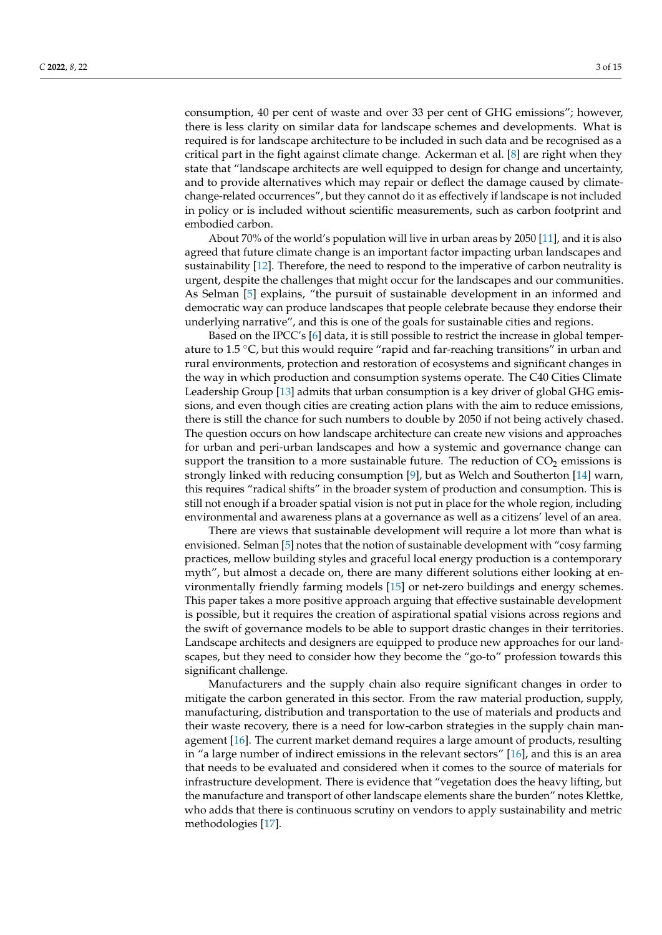consumption, 40 per cent of waste and over 33 per cent of GHG emissions"; however, there is less clarity on similar data for landscape schemes and developments. What is required is for landscape architecture to be included in such data and be recognised as a critical part in the fight against climate change. Ackerman et al. [\[8\]](#page-13-7) are right when they state that "landscape architects are well equipped to design for change and uncertainty, and to provide alternatives which may repair or deflect the damage caused by climatechange-related occurrences", but they cannot do it as effectively if landscape is not included in policy or is included without scientific measurements, such as carbon footprint and embodied carbon.

About 70% of the world's population will live in urban areas by 2050 [\[11\]](#page-13-10), and it is also agreed that future climate change is an important factor impacting urban landscapes and sustainability [\[12\]](#page-13-11). Therefore, the need to respond to the imperative of carbon neutrality is urgent, despite the challenges that might occur for the landscapes and our communities. As Selman [\[5\]](#page-13-4) explains, "the pursuit of sustainable development in an informed and democratic way can produce landscapes that people celebrate because they endorse their underlying narrative", and this is one of the goals for sustainable cities and regions.

Based on the IPCC's [\[6\]](#page-13-5) data, it is still possible to restrict the increase in global temperature to 1.5  $\degree$ C, but this would require "rapid and far-reaching transitions" in urban and rural environments, protection and restoration of ecosystems and significant changes in the way in which production and consumption systems operate. The C40 Cities Climate Leadership Group [\[13\]](#page-13-12) admits that urban consumption is a key driver of global GHG emissions, and even though cities are creating action plans with the aim to reduce emissions, there is still the chance for such numbers to double by 2050 if not being actively chased. The question occurs on how landscape architecture can create new visions and approaches for urban and peri-urban landscapes and how a systemic and governance change can support the transition to a more sustainable future. The reduction of  $CO<sub>2</sub>$  emissions is strongly linked with reducing consumption [\[9\]](#page-13-8), but as Welch and Southerton [\[14\]](#page-13-13) warn, this requires "radical shifts" in the broader system of production and consumption. This is still not enough if a broader spatial vision is not put in place for the whole region, including environmental and awareness plans at a governance as well as a citizens' level of an area.

There are views that sustainable development will require a lot more than what is envisioned. Selman [\[5\]](#page-13-4) notes that the notion of sustainable development with "cosy farming practices, mellow building styles and graceful local energy production is a contemporary myth", but almost a decade on, there are many different solutions either looking at environmentally friendly farming models [\[15\]](#page-13-14) or net-zero buildings and energy schemes. This paper takes a more positive approach arguing that effective sustainable development is possible, but it requires the creation of aspirational spatial visions across regions and the swift of governance models to be able to support drastic changes in their territories. Landscape architects and designers are equipped to produce new approaches for our landscapes, but they need to consider how they become the "go-to" profession towards this significant challenge.

Manufacturers and the supply chain also require significant changes in order to mitigate the carbon generated in this sector. From the raw material production, supply, manufacturing, distribution and transportation to the use of materials and products and their waste recovery, there is a need for low-carbon strategies in the supply chain management [\[16\]](#page-13-15). The current market demand requires a large amount of products, resulting in "a large number of indirect emissions in the relevant sectors" [\[16\]](#page-13-15), and this is an area that needs to be evaluated and considered when it comes to the source of materials for infrastructure development. There is evidence that "vegetation does the heavy lifting, but the manufacture and transport of other landscape elements share the burden" notes Klettke, who adds that there is continuous scrutiny on vendors to apply sustainability and metric methodologies [\[17\]](#page-13-16).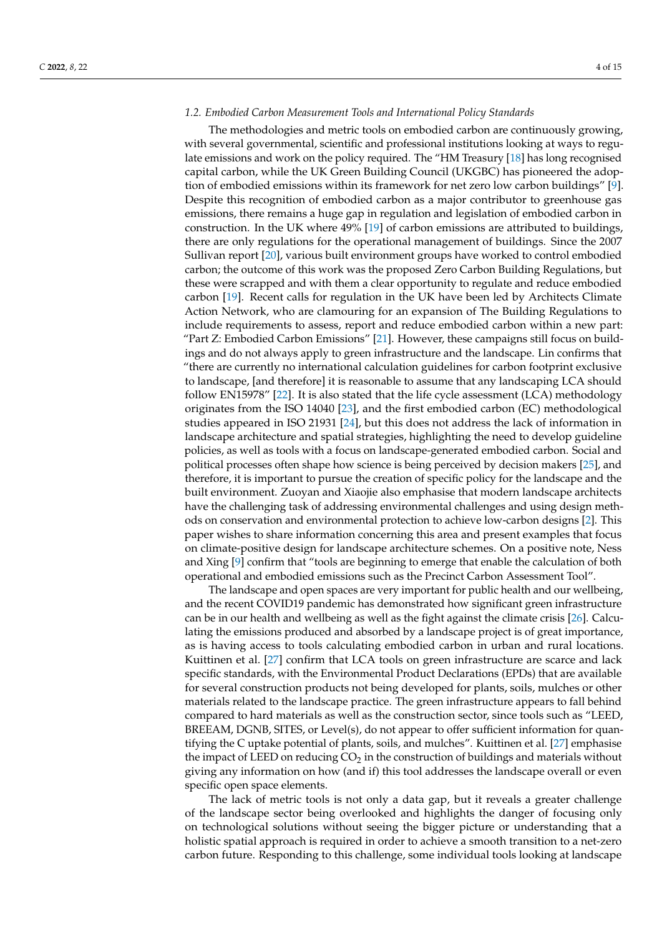#### *1.2. Embodied Carbon Measurement Tools and International Policy Standards*

The methodologies and metric tools on embodied carbon are continuously growing, with several governmental, scientific and professional institutions looking at ways to regulate emissions and work on the policy required. The "HM Treasury [\[18\]](#page-13-17) has long recognised capital carbon, while the UK Green Building Council (UKGBC) has pioneered the adoption of embodied emissions within its framework for net zero low carbon buildings" [\[9\]](#page-13-8). Despite this recognition of embodied carbon as a major contributor to greenhouse gas emissions, there remains a huge gap in regulation and legislation of embodied carbon in construction. In the UK where 49% [\[19\]](#page-13-18) of carbon emissions are attributed to buildings, there are only regulations for the operational management of buildings. Since the 2007 Sullivan report [\[20\]](#page-13-19), various built environment groups have worked to control embodied carbon; the outcome of this work was the proposed Zero Carbon Building Regulations, but these were scrapped and with them a clear opportunity to regulate and reduce embodied carbon [\[19\]](#page-13-18). Recent calls for regulation in the UK have been led by Architects Climate Action Network, who are clamouring for an expansion of The Building Regulations to include requirements to assess, report and reduce embodied carbon within a new part: "Part Z: Embodied Carbon Emissions" [\[21\]](#page-14-0). However, these campaigns still focus on buildings and do not always apply to green infrastructure and the landscape. Lin confirms that "there are currently no international calculation guidelines for carbon footprint exclusive to landscape, [and therefore] it is reasonable to assume that any landscaping LCA should follow EN15978" [\[22\]](#page-14-1). It is also stated that the life cycle assessment (LCA) methodology originates from the ISO 14040 [\[23\]](#page-14-2), and the first embodied carbon (EC) methodological studies appeared in ISO 21931 [\[24\]](#page-14-3), but this does not address the lack of information in landscape architecture and spatial strategies, highlighting the need to develop guideline policies, as well as tools with a focus on landscape-generated embodied carbon. Social and political processes often shape how science is being perceived by decision makers [\[25\]](#page-14-4), and therefore, it is important to pursue the creation of specific policy for the landscape and the built environment. Zuoyan and Xiaojie also emphasise that modern landscape architects have the challenging task of addressing environmental challenges and using design methods on conservation and environmental protection to achieve low-carbon designs [\[2\]](#page-13-1). This paper wishes to share information concerning this area and present examples that focus on climate-positive design for landscape architecture schemes. On a positive note, Ness and Xing [\[9\]](#page-13-8) confirm that "tools are beginning to emerge that enable the calculation of both operational and embodied emissions such as the Precinct Carbon Assessment Tool".

The landscape and open spaces are very important for public health and our wellbeing, and the recent COVID19 pandemic has demonstrated how significant green infrastructure can be in our health and wellbeing as well as the fight against the climate crisis [\[26\]](#page-14-5). Calculating the emissions produced and absorbed by a landscape project is of great importance, as is having access to tools calculating embodied carbon in urban and rural locations. Kuittinen et al. [\[27\]](#page-14-6) confirm that LCA tools on green infrastructure are scarce and lack specific standards, with the Environmental Product Declarations (EPDs) that are available for several construction products not being developed for plants, soils, mulches or other materials related to the landscape practice. The green infrastructure appears to fall behind compared to hard materials as well as the construction sector, since tools such as "LEED, BREEAM, DGNB, SITES, or Level(s), do not appear to offer sufficient information for quantifying the C uptake potential of plants, soils, and mulches". Kuittinen et al. [\[27\]](#page-14-6) emphasise the impact of LEED on reducing  $CO<sub>2</sub>$  in the construction of buildings and materials without giving any information on how (and if) this tool addresses the landscape overall or even specific open space elements.

The lack of metric tools is not only a data gap, but it reveals a greater challenge of the landscape sector being overlooked and highlights the danger of focusing only on technological solutions without seeing the bigger picture or understanding that a holistic spatial approach is required in order to achieve a smooth transition to a net-zero carbon future. Responding to this challenge, some individual tools looking at landscape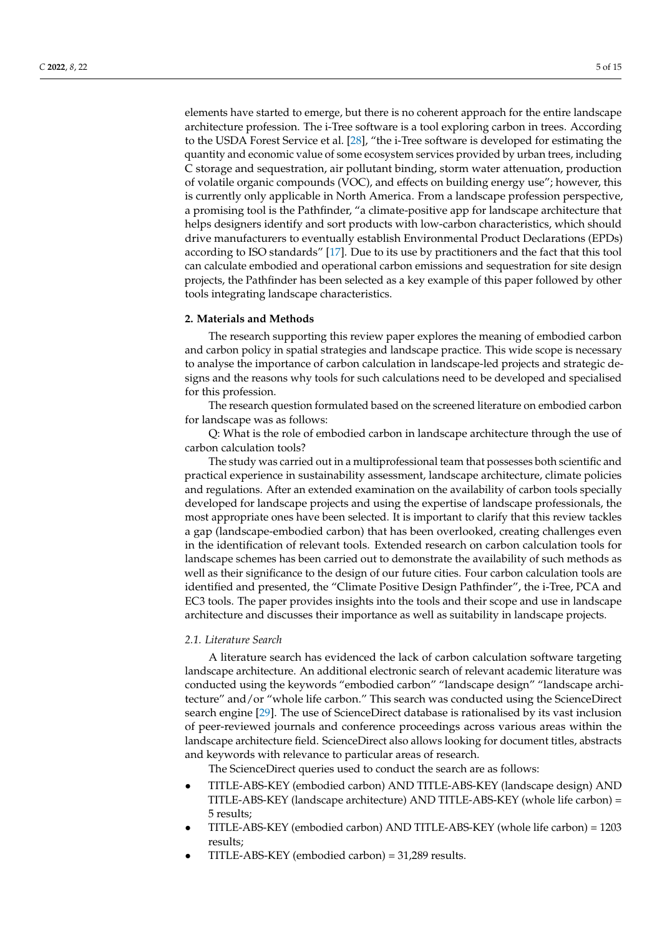elements have started to emerge, but there is no coherent approach for the entire landscape architecture profession. The i-Tree software is a tool exploring carbon in trees. According to the USDA Forest Service et al. [\[28\]](#page-14-7), "the i-Tree software is developed for estimating the quantity and economic value of some ecosystem services provided by urban trees, including C storage and sequestration, air pollutant binding, storm water attenuation, production of volatile organic compounds (VOC), and effects on building energy use"; however, this is currently only applicable in North America. From a landscape profession perspective, a promising tool is the Pathfinder, "a climate-positive app for landscape architecture that helps designers identify and sort products with low-carbon characteristics, which should drive manufacturers to eventually establish Environmental Product Declarations (EPDs) according to ISO standards" [\[17\]](#page-13-16). Due to its use by practitioners and the fact that this tool can calculate embodied and operational carbon emissions and sequestration for site design projects, the Pathfinder has been selected as a key example of this paper followed by other tools integrating landscape characteristics.

#### **2. Materials and Methods**

The research supporting this review paper explores the meaning of embodied carbon and carbon policy in spatial strategies and landscape practice. This wide scope is necessary to analyse the importance of carbon calculation in landscape-led projects and strategic designs and the reasons why tools for such calculations need to be developed and specialised for this profession.

The research question formulated based on the screened literature on embodied carbon for landscape was as follows:

Q: What is the role of embodied carbon in landscape architecture through the use of carbon calculation tools?

The study was carried out in a multiprofessional team that possesses both scientific and practical experience in sustainability assessment, landscape architecture, climate policies and regulations. After an extended examination on the availability of carbon tools specially developed for landscape projects and using the expertise of landscape professionals, the most appropriate ones have been selected. It is important to clarify that this review tackles a gap (landscape-embodied carbon) that has been overlooked, creating challenges even in the identification of relevant tools. Extended research on carbon calculation tools for landscape schemes has been carried out to demonstrate the availability of such methods as well as their significance to the design of our future cities. Four carbon calculation tools are identified and presented, the "Climate Positive Design Pathfinder", the i-Tree, PCA and EC3 tools. The paper provides insights into the tools and their scope and use in landscape architecture and discusses their importance as well as suitability in landscape projects.

# *2.1. Literature Search*

A literature search has evidenced the lack of carbon calculation software targeting landscape architecture. An additional electronic search of relevant academic literature was conducted using the keywords "embodied carbon" "landscape design" "landscape architecture" and/or "whole life carbon." This search was conducted using the ScienceDirect search engine [\[29\]](#page-14-8). The use of ScienceDirect database is rationalised by its vast inclusion of peer-reviewed journals and conference proceedings across various areas within the landscape architecture field. ScienceDirect also allows looking for document titles, abstracts and keywords with relevance to particular areas of research.

The ScienceDirect queries used to conduct the search are as follows:

- TITLE-ABS-KEY (embodied carbon) AND TITLE-ABS-KEY (landscape design) AND TITLE-ABS-KEY (landscape architecture) AND TITLE-ABS-KEY (whole life carbon) = 5 results;
- TITLE-ABS-KEY (embodied carbon) AND TITLE-ABS-KEY (whole life carbon) = 1203 results;
- TITLE-ABS-KEY (embodied carbon) = 31,289 results.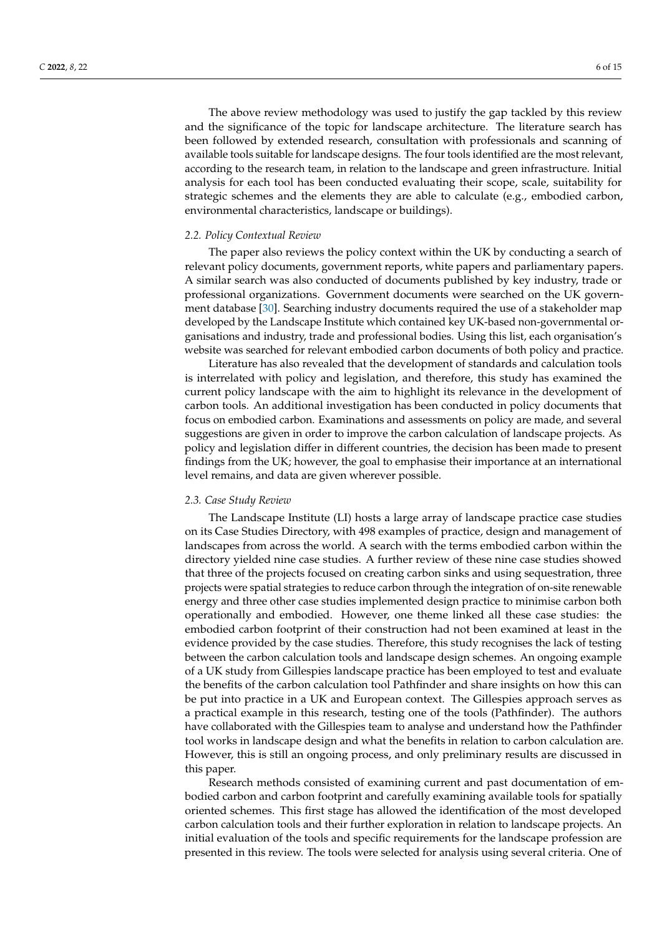The above review methodology was used to justify the gap tackled by this review and the significance of the topic for landscape architecture. The literature search has been followed by extended research, consultation with professionals and scanning of available tools suitable for landscape designs. The four tools identified are the most relevant, according to the research team, in relation to the landscape and green infrastructure. Initial analysis for each tool has been conducted evaluating their scope, scale, suitability for strategic schemes and the elements they are able to calculate (e.g., embodied carbon, environmental characteristics, landscape or buildings).

#### *2.2. Policy Contextual Review*

The paper also reviews the policy context within the UK by conducting a search of relevant policy documents, government reports, white papers and parliamentary papers. A similar search was also conducted of documents published by key industry, trade or professional organizations. Government documents were searched on the UK government database [\[30\]](#page-14-9). Searching industry documents required the use of a stakeholder map developed by the Landscape Institute which contained key UK-based non-governmental organisations and industry, trade and professional bodies. Using this list, each organisation's website was searched for relevant embodied carbon documents of both policy and practice.

Literature has also revealed that the development of standards and calculation tools is interrelated with policy and legislation, and therefore, this study has examined the current policy landscape with the aim to highlight its relevance in the development of carbon tools. An additional investigation has been conducted in policy documents that focus on embodied carbon. Examinations and assessments on policy are made, and several suggestions are given in order to improve the carbon calculation of landscape projects. As policy and legislation differ in different countries, the decision has been made to present findings from the UK; however, the goal to emphasise their importance at an international level remains, and data are given wherever possible.

#### *2.3. Case Study Review*

The Landscape Institute (LI) hosts a large array of landscape practice case studies on its Case Studies Directory, with 498 examples of practice, design and management of landscapes from across the world. A search with the terms embodied carbon within the directory yielded nine case studies. A further review of these nine case studies showed that three of the projects focused on creating carbon sinks and using sequestration, three projects were spatial strategies to reduce carbon through the integration of on-site renewable energy and three other case studies implemented design practice to minimise carbon both operationally and embodied. However, one theme linked all these case studies: the embodied carbon footprint of their construction had not been examined at least in the evidence provided by the case studies. Therefore, this study recognises the lack of testing between the carbon calculation tools and landscape design schemes. An ongoing example of a UK study from Gillespies landscape practice has been employed to test and evaluate the benefits of the carbon calculation tool Pathfinder and share insights on how this can be put into practice in a UK and European context. The Gillespies approach serves as a practical example in this research, testing one of the tools (Pathfinder). The authors have collaborated with the Gillespies team to analyse and understand how the Pathfinder tool works in landscape design and what the benefits in relation to carbon calculation are. However, this is still an ongoing process, and only preliminary results are discussed in this paper.

Research methods consisted of examining current and past documentation of embodied carbon and carbon footprint and carefully examining available tools for spatially oriented schemes. This first stage has allowed the identification of the most developed carbon calculation tools and their further exploration in relation to landscape projects. An initial evaluation of the tools and specific requirements for the landscape profession are presented in this review. The tools were selected for analysis using several criteria. One of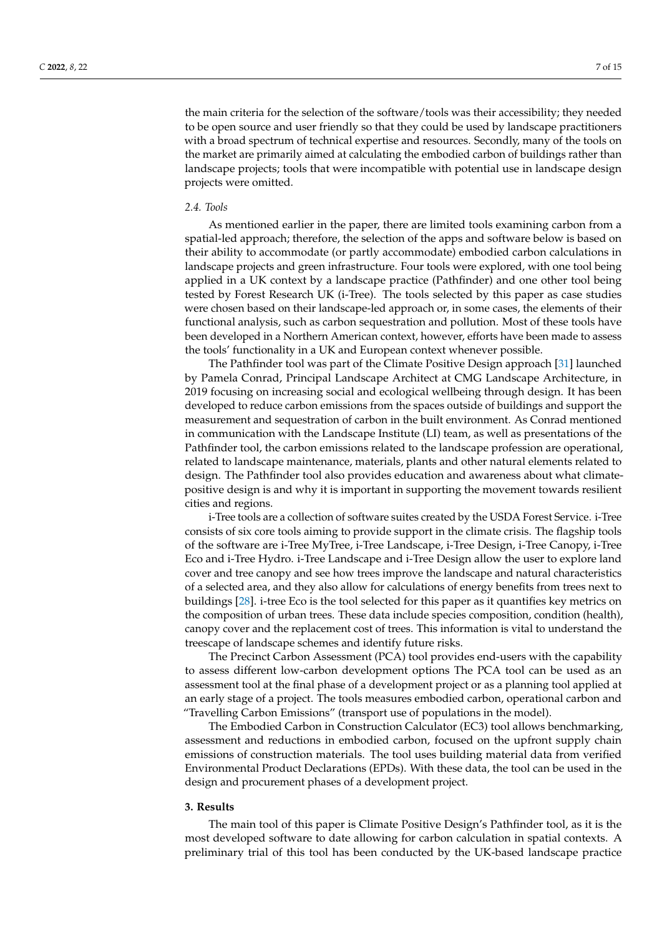the main criteria for the selection of the software/tools was their accessibility; they needed to be open source and user friendly so that they could be used by landscape practitioners with a broad spectrum of technical expertise and resources. Secondly, many of the tools on the market are primarily aimed at calculating the embodied carbon of buildings rather than landscape projects; tools that were incompatible with potential use in landscape design projects were omitted.

#### *2.4. Tools*

As mentioned earlier in the paper, there are limited tools examining carbon from a spatial-led approach; therefore, the selection of the apps and software below is based on their ability to accommodate (or partly accommodate) embodied carbon calculations in landscape projects and green infrastructure. Four tools were explored, with one tool being applied in a UK context by a landscape practice (Pathfinder) and one other tool being tested by Forest Research UK (i-Tree). The tools selected by this paper as case studies were chosen based on their landscape-led approach or, in some cases, the elements of their functional analysis, such as carbon sequestration and pollution. Most of these tools have been developed in a Northern American context, however, efforts have been made to assess the tools' functionality in a UK and European context whenever possible.

The Pathfinder tool was part of the Climate Positive Design approach [\[31\]](#page-14-10) launched by Pamela Conrad, Principal Landscape Architect at CMG Landscape Architecture, in 2019 focusing on increasing social and ecological wellbeing through design. It has been developed to reduce carbon emissions from the spaces outside of buildings and support the measurement and sequestration of carbon in the built environment. As Conrad mentioned in communication with the Landscape Institute (LI) team, as well as presentations of the Pathfinder tool, the carbon emissions related to the landscape profession are operational, related to landscape maintenance, materials, plants and other natural elements related to design. The Pathfinder tool also provides education and awareness about what climatepositive design is and why it is important in supporting the movement towards resilient cities and regions.

i-Tree tools are a collection of software suites created by the USDA Forest Service. i-Tree consists of six core tools aiming to provide support in the climate crisis. The flagship tools of the software are i-Tree MyTree, i-Tree Landscape, i-Tree Design, i-Tree Canopy, i-Tree Eco and i-Tree Hydro. i-Tree Landscape and i-Tree Design allow the user to explore land cover and tree canopy and see how trees improve the landscape and natural characteristics of a selected area, and they also allow for calculations of energy benefits from trees next to buildings [\[28\]](#page-14-7). i-tree Eco is the tool selected for this paper as it quantifies key metrics on the composition of urban trees. These data include species composition, condition (health), canopy cover and the replacement cost of trees. This information is vital to understand the treescape of landscape schemes and identify future risks.

The Precinct Carbon Assessment (PCA) tool provides end-users with the capability to assess different low-carbon development options The PCA tool can be used as an assessment tool at the final phase of a development project or as a planning tool applied at an early stage of a project. The tools measures embodied carbon, operational carbon and "Travelling Carbon Emissions" (transport use of populations in the model).

The Embodied Carbon in Construction Calculator (EC3) tool allows benchmarking, assessment and reductions in embodied carbon, focused on the upfront supply chain emissions of construction materials. The tool uses building material data from verified Environmental Product Declarations (EPDs). With these data, the tool can be used in the design and procurement phases of a development project.

#### **3. Results**

The main tool of this paper is Climate Positive Design's Pathfinder tool, as it is the most developed software to date allowing for carbon calculation in spatial contexts. A preliminary trial of this tool has been conducted by the UK-based landscape practice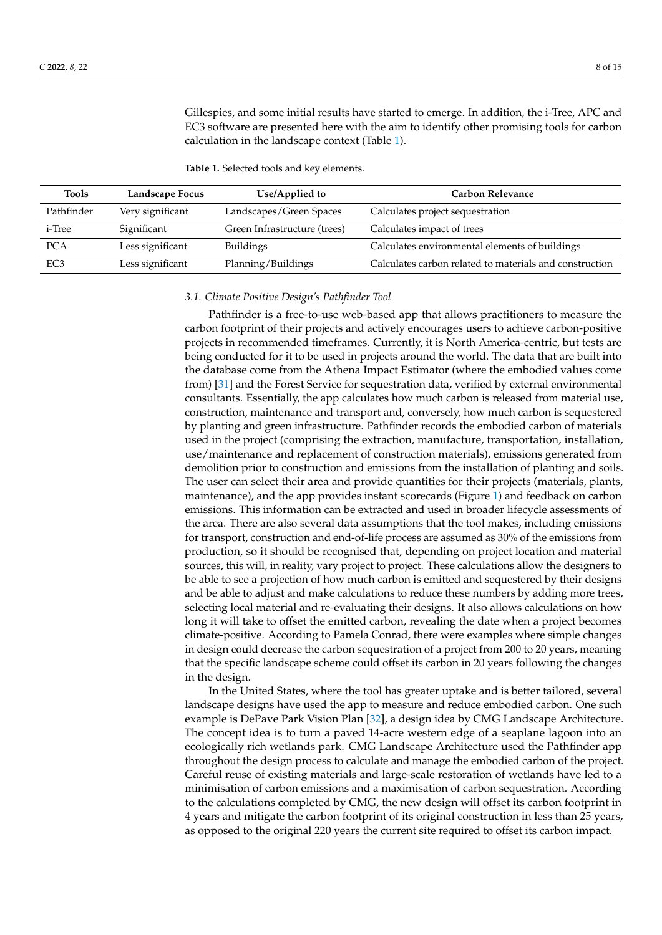Gillespies, and some initial results have started to emerge. In addition, the i-Tree, APC and EC3 software are presented here with the aim to identify other promising tools for carbon calculation in the landscape context (Table [1\)](#page-7-0).

<span id="page-7-0"></span>**Table 1.** Selected tools and key elements.

| <b>Tools</b>    | Landscape Focus  | Use/Applied to               | <b>Carbon Relevance</b>                                 |
|-----------------|------------------|------------------------------|---------------------------------------------------------|
| Pathfinder      | Very significant | Landscapes/Green Spaces      | Calculates project sequestration                        |
| i-Tree          | Significant      | Green Infrastructure (trees) | Calculates impact of trees                              |
| <b>PCA</b>      | Less significant | <b>Buildings</b>             | Calculates environmental elements of buildings          |
| EC <sub>3</sub> | Less significant | Planning/Buildings           | Calculates carbon related to materials and construction |

#### *3.1. Climate Positive Design's Pathfinder Tool*

Pathfinder is a free-to-use web-based app that allows practitioners to measure the carbon footprint of their projects and actively encourages users to achieve carbon-positive projects in recommended timeframes. Currently, it is North America-centric, but tests are being conducted for it to be used in projects around the world. The data that are built into the database come from the Athena Impact Estimator (where the embodied values come from) [\[31\]](#page-14-10) and the Forest Service for sequestration data, verified by external environmental consultants. Essentially, the app calculates how much carbon is released from material use, construction, maintenance and transport and, conversely, how much carbon is sequestered by planting and green infrastructure. Pathfinder records the embodied carbon of materials used in the project (comprising the extraction, manufacture, transportation, installation, use/maintenance and replacement of construction materials), emissions generated from demolition prior to construction and emissions from the installation of planting and soils. The user can select their area and provide quantities for their projects (materials, plants, maintenance), and the app provides instant scorecards (Figure [1\)](#page-8-0) and feedback on carbon emissions. This information can be extracted and used in broader lifecycle assessments of the area. There are also several data assumptions that the tool makes, including emissions for transport, construction and end-of-life process are assumed as 30% of the emissions from production, so it should be recognised that, depending on project location and material sources, this will, in reality, vary project to project. These calculations allow the designers to be able to see a projection of how much carbon is emitted and sequestered by their designs and be able to adjust and make calculations to reduce these numbers by adding more trees, selecting local material and re-evaluating their designs. It also allows calculations on how long it will take to offset the emitted carbon, revealing the date when a project becomes climate-positive. According to Pamela Conrad, there were examples where simple changes in design could decrease the carbon sequestration of a project from 200 to 20 years, meaning that the specific landscape scheme could offset its carbon in 20 years following the changes in the design.

In the United States, where the tool has greater uptake and is better tailored, several landscape designs have used the app to measure and reduce embodied carbon. One such example is DePave Park Vision Plan [\[32\]](#page-14-11), a design idea by CMG Landscape Architecture. The concept idea is to turn a paved 14-acre western edge of a seaplane lagoon into an ecologically rich wetlands park. CMG Landscape Architecture used the Pathfinder app throughout the design process to calculate and manage the embodied carbon of the project. Careful reuse of existing materials and large-scale restoration of wetlands have led to a minimisation of carbon emissions and a maximisation of carbon sequestration. According to the calculations completed by CMG, the new design will offset its carbon footprint in 4 years and mitigate the carbon footprint of its original construction in less than 25 years, as opposed to the original 220 years the current site required to offset its carbon impact.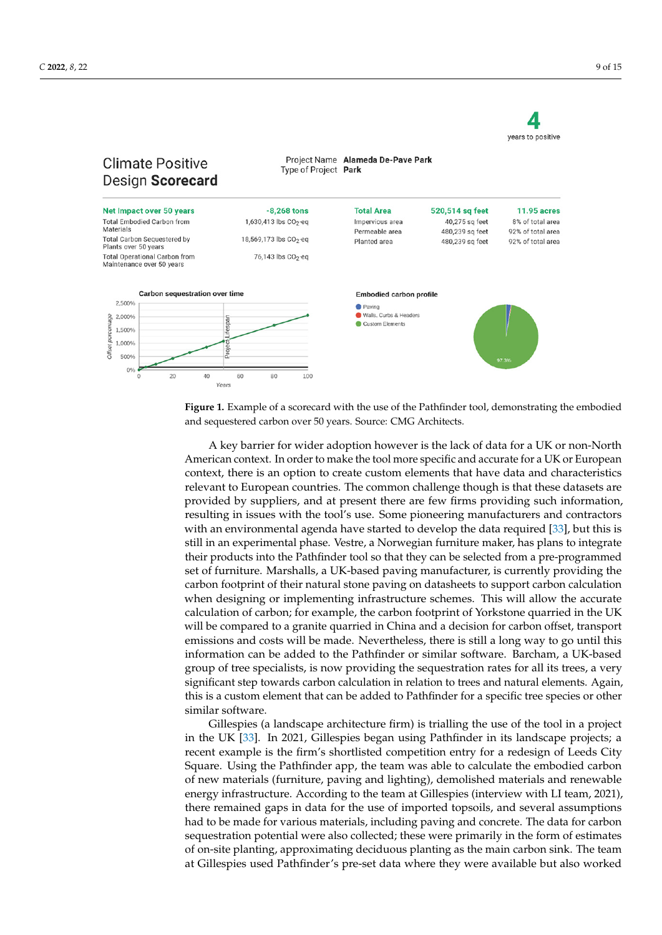<span id="page-8-0"></span>

**Figure 1.** Example of a scorecard with the use of the Pathfinder tool, demonstrating the embodied **Figure 1.** Example of a scorecard with the use of the Pathfinder tool, demonstrating the embodied and sequestered carbon over 50 years. Source: CMG Architects*.*  and sequestered carbon over 50 years. Source: CMG Architects.

A key barrier for wider adoption however is the lack of data for a UK or non-North A key barrier for wider adoption however is the lack of data for a UK or non-North American context. In order to make the tool more specific and accurate for a UK or European context, there is an option to create custom elements that have data and characteristics relevant to European countries. The common challenge though is that these datasets are are provided by suppliers, and at present there are few firms providing such information, provided by suppliers, and at present there are few firms providing such information, resulting in issues with the tool's use. Some pioneering manufacturers and contractors resulting in issues with the tool's use. Some pioneering manufacturers and contractors with an environmental agenda have started to develop the data required [33], but this is with an environmental agenda have started to develop the data required [\[33\]](#page-14-12), but this is still in an experimental phase. Vestre, a Norwegian furniture maker, has plans to integrate still in an experimental phase. Vestre, a Norwegian furniture maker, has plans to integrate their products into the Pathfinder tool so that they can be selected from a pre-programmed their products into the Pathfinder tool so that they can be selected from a pre-programmed set of furniture. Marshalls, a UK-based paving manufacturer, is currently providing the set of furniture. Marshalls, a UK-based paving manufacturer, is currently providing the carbon footprint of their natural stone paving on datasheets to support carbon calculation carbon footprint of their natural stone paving on datasheets to support carbon calculation when designing or implementing infrastructure schemes. This will allow the accurate calculation of carbon; for example, the carbon footprint of Yorkstone quarried in the UK be compared to a granite quarried in China and a decision for carbon offset, transport will be compared to a granite quarried in China and a decision for carbon offset, transport emissions and costs will be made. Nevertheless, there is still a long way to go until this information can be added to the Pathfinder or similar software. Barcham, a UK-based information can be added to the Pathfinder or similar software. Barcham, a UK-based group of tree specialists, is now providing the sequestration rates for all its trees, a very significant step towards carbon calculation in relation to trees and natural elements. Again, this is a custom element that can be added to Pathfinder for a specific tree species or other similar software.

Gillespies (a landscape architecture firm) is trialling the use of the tool in a project in the UK [\[33\]](#page-14-12). In 2021, Gillespies began using Pathfinder in its landscape projects; a recent example is the firm's shortlisted competition entry for a redesign of Leeds City Square. Using the Pathfinder app, the team was able to calculate the embodied carbon of new materials (furniture, paving and lighting), demolished materials and renewable energy infrastructure. According to the team at Gillespies (interview with LI team, 2021), there remained gaps in data for the use of imported topsoils, and several assumptions had to be made for various materials, including paving and concrete. The data for carbon sequestration potential were also collected; these were primarily in the form of estimates of on-site planting, approximating deciduous planting as the main carbon sink. The team at Gillespies used Pathfinder's pre-set data where they were available but also worked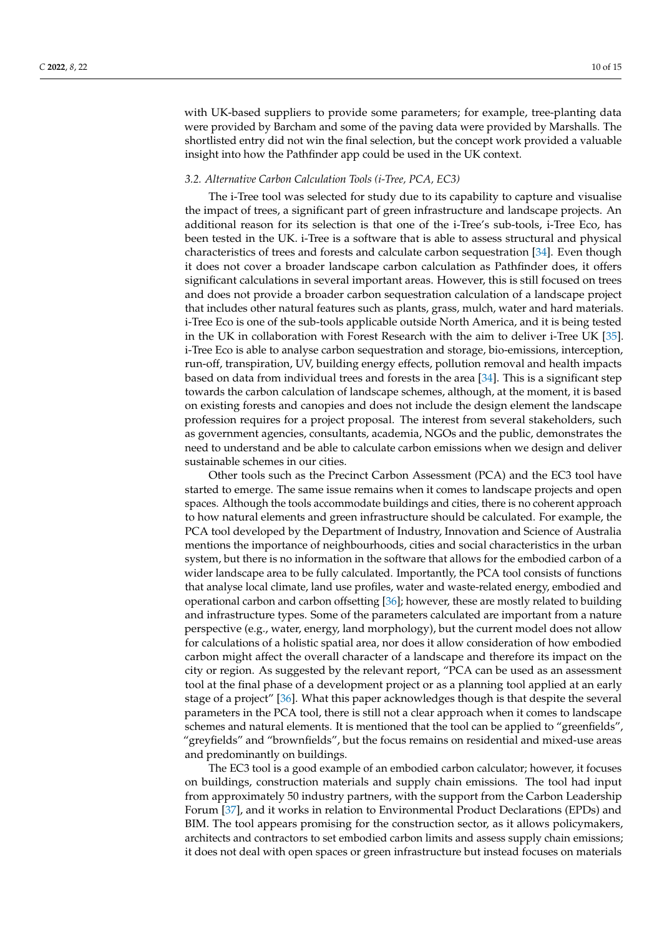with UK-based suppliers to provide some parameters; for example, tree-planting data were provided by Barcham and some of the paving data were provided by Marshalls. The shortlisted entry did not win the final selection, but the concept work provided a valuable insight into how the Pathfinder app could be used in the UK context.

#### *3.2. Alternative Carbon Calculation Tools (i-Tree, PCA, EC3)*

The i-Tree tool was selected for study due to its capability to capture and visualise the impact of trees, a significant part of green infrastructure and landscape projects. An additional reason for its selection is that one of the i-Tree's sub-tools, i-Tree Eco, has been tested in the UK. i-Tree is a software that is able to assess structural and physical characteristics of trees and forests and calculate carbon sequestration [\[34\]](#page-14-13). Even though it does not cover a broader landscape carbon calculation as Pathfinder does, it offers significant calculations in several important areas. However, this is still focused on trees and does not provide a broader carbon sequestration calculation of a landscape project that includes other natural features such as plants, grass, mulch, water and hard materials. i-Tree Eco is one of the sub-tools applicable outside North America, and it is being tested in the UK in collaboration with Forest Research with the aim to deliver i-Tree UK [\[35\]](#page-14-14). i-Tree Eco is able to analyse carbon sequestration and storage, bio-emissions, interception, run-off, transpiration, UV, building energy effects, pollution removal and health impacts based on data from individual trees and forests in the area [\[34\]](#page-14-13). This is a significant step towards the carbon calculation of landscape schemes, although, at the moment, it is based on existing forests and canopies and does not include the design element the landscape profession requires for a project proposal. The interest from several stakeholders, such as government agencies, consultants, academia, NGOs and the public, demonstrates the need to understand and be able to calculate carbon emissions when we design and deliver sustainable schemes in our cities.

Other tools such as the Precinct Carbon Assessment (PCA) and the EC3 tool have started to emerge. The same issue remains when it comes to landscape projects and open spaces. Although the tools accommodate buildings and cities, there is no coherent approach to how natural elements and green infrastructure should be calculated. For example, the PCA tool developed by the Department of Industry, Innovation and Science of Australia mentions the importance of neighbourhoods, cities and social characteristics in the urban system, but there is no information in the software that allows for the embodied carbon of a wider landscape area to be fully calculated. Importantly, the PCA tool consists of functions that analyse local climate, land use profiles, water and waste-related energy, embodied and operational carbon and carbon offsetting [\[36\]](#page-14-15); however, these are mostly related to building and infrastructure types. Some of the parameters calculated are important from a nature perspective (e.g., water, energy, land morphology), but the current model does not allow for calculations of a holistic spatial area, nor does it allow consideration of how embodied carbon might affect the overall character of a landscape and therefore its impact on the city or region. As suggested by the relevant report, "PCA can be used as an assessment tool at the final phase of a development project or as a planning tool applied at an early stage of a project" [\[36\]](#page-14-15). What this paper acknowledges though is that despite the several parameters in the PCA tool, there is still not a clear approach when it comes to landscape schemes and natural elements. It is mentioned that the tool can be applied to "greenfields", "greyfields" and "brownfields", but the focus remains on residential and mixed-use areas and predominantly on buildings.

The EC3 tool is a good example of an embodied carbon calculator; however, it focuses on buildings, construction materials and supply chain emissions. The tool had input from approximately 50 industry partners, with the support from the Carbon Leadership Forum [\[37\]](#page-14-16), and it works in relation to Environmental Product Declarations (EPDs) and BIM. The tool appears promising for the construction sector, as it allows policymakers, architects and contractors to set embodied carbon limits and assess supply chain emissions; it does not deal with open spaces or green infrastructure but instead focuses on materials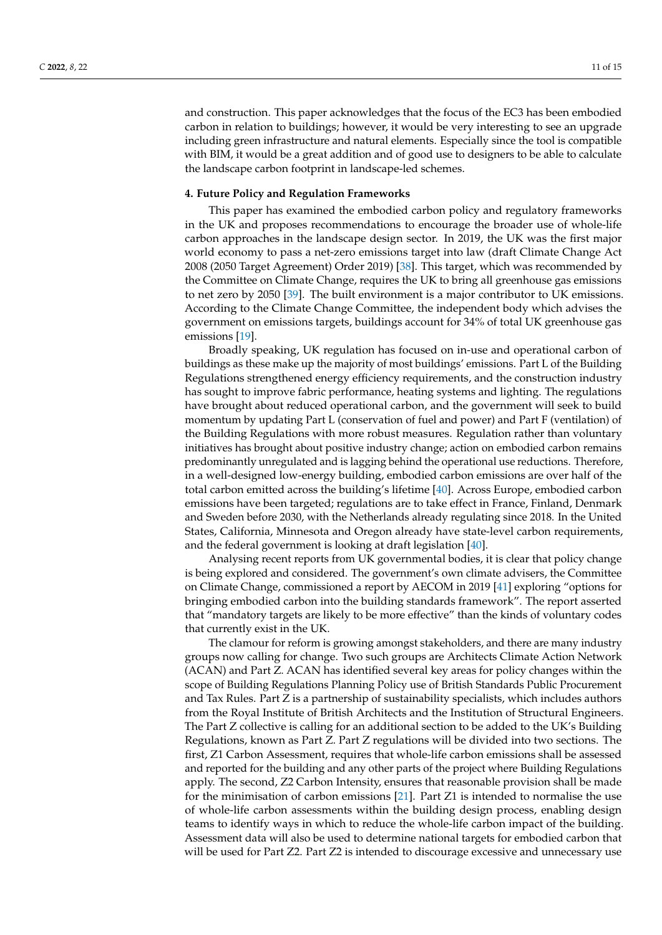and construction. This paper acknowledges that the focus of the EC3 has been embodied carbon in relation to buildings; however, it would be very interesting to see an upgrade including green infrastructure and natural elements. Especially since the tool is compatible with BIM, it would be a great addition and of good use to designers to be able to calculate the landscape carbon footprint in landscape-led schemes.

#### **4. Future Policy and Regulation Frameworks**

This paper has examined the embodied carbon policy and regulatory frameworks in the UK and proposes recommendations to encourage the broader use of whole-life carbon approaches in the landscape design sector. In 2019, the UK was the first major world economy to pass a net-zero emissions target into law (draft Climate Change Act 2008 (2050 Target Agreement) Order 2019) [\[38\]](#page-14-17). This target, which was recommended by the Committee on Climate Change, requires the UK to bring all greenhouse gas emissions to net zero by 2050 [\[39\]](#page-14-18). The built environment is a major contributor to UK emissions. According to the Climate Change Committee, the independent body which advises the government on emissions targets, buildings account for 34% of total UK greenhouse gas emissions [\[19\]](#page-13-18).

Broadly speaking, UK regulation has focused on in-use and operational carbon of buildings as these make up the majority of most buildings' emissions. Part L of the Building Regulations strengthened energy efficiency requirements, and the construction industry has sought to improve fabric performance, heating systems and lighting. The regulations have brought about reduced operational carbon, and the government will seek to build momentum by updating Part L (conservation of fuel and power) and Part F (ventilation) of the Building Regulations with more robust measures. Regulation rather than voluntary initiatives has brought about positive industry change; action on embodied carbon remains predominantly unregulated and is lagging behind the operational use reductions. Therefore, in a well-designed low-energy building, embodied carbon emissions are over half of the total carbon emitted across the building's lifetime [\[40\]](#page-14-19). Across Europe, embodied carbon emissions have been targeted; regulations are to take effect in France, Finland, Denmark and Sweden before 2030, with the Netherlands already regulating since 2018. In the United States, California, Minnesota and Oregon already have state-level carbon requirements, and the federal government is looking at draft legislation [\[40\]](#page-14-19).

Analysing recent reports from UK governmental bodies, it is clear that policy change is being explored and considered. The government's own climate advisers, the Committee on Climate Change, commissioned a report by AECOM in 2019 [\[41\]](#page-14-20) exploring "options for bringing embodied carbon into the building standards framework". The report asserted that "mandatory targets are likely to be more effective" than the kinds of voluntary codes that currently exist in the UK.

The clamour for reform is growing amongst stakeholders, and there are many industry groups now calling for change. Two such groups are Architects Climate Action Network (ACAN) and Part Z. ACAN has identified several key areas for policy changes within the scope of Building Regulations Planning Policy use of British Standards Public Procurement and Tax Rules. Part Z is a partnership of sustainability specialists, which includes authors from the Royal Institute of British Architects and the Institution of Structural Engineers. The Part Z collective is calling for an additional section to be added to the UK's Building Regulations, known as Part Z. Part Z regulations will be divided into two sections. The first, Z1 Carbon Assessment, requires that whole-life carbon emissions shall be assessed and reported for the building and any other parts of the project where Building Regulations apply. The second, Z2 Carbon Intensity, ensures that reasonable provision shall be made for the minimisation of carbon emissions [\[21\]](#page-14-0). Part Z1 is intended to normalise the use of whole-life carbon assessments within the building design process, enabling design teams to identify ways in which to reduce the whole-life carbon impact of the building. Assessment data will also be used to determine national targets for embodied carbon that will be used for Part Z2. Part Z2 is intended to discourage excessive and unnecessary use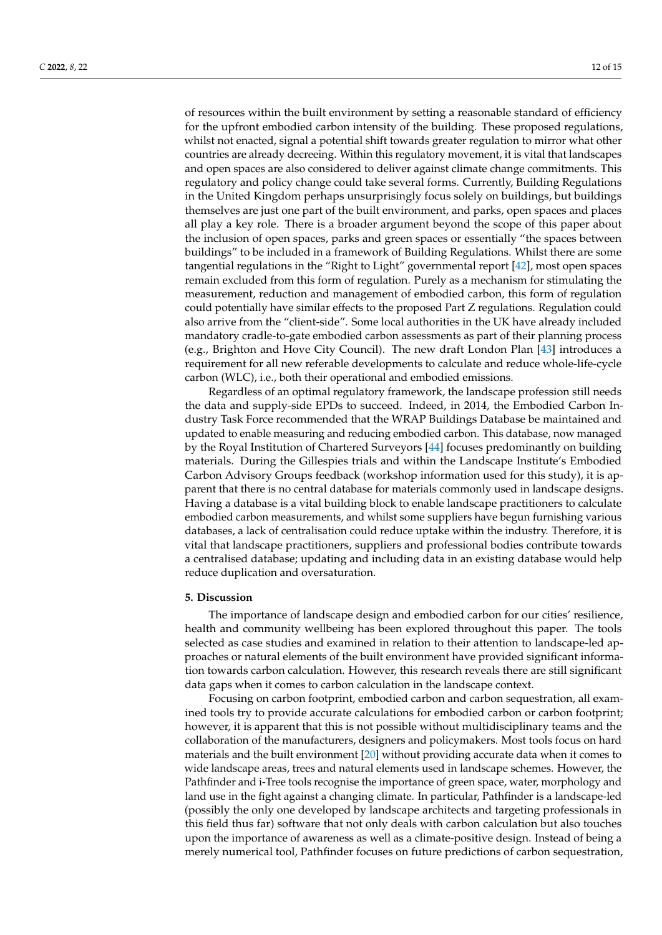of resources within the built environment by setting a reasonable standard of efficiency for the upfront embodied carbon intensity of the building. These proposed regulations, whilst not enacted, signal a potential shift towards greater regulation to mirror what other countries are already decreeing. Within this regulatory movement, it is vital that landscapes and open spaces are also considered to deliver against climate change commitments. This regulatory and policy change could take several forms. Currently, Building Regulations in the United Kingdom perhaps unsurprisingly focus solely on buildings, but buildings themselves are just one part of the built environment, and parks, open spaces and places all play a key role. There is a broader argument beyond the scope of this paper about the inclusion of open spaces, parks and green spaces or essentially "the spaces between buildings" to be included in a framework of Building Regulations. Whilst there are some tangential regulations in the "Right to Light" governmental report [\[42\]](#page-14-21), most open spaces remain excluded from this form of regulation. Purely as a mechanism for stimulating the measurement, reduction and management of embodied carbon, this form of regulation could potentially have similar effects to the proposed Part Z regulations. Regulation could also arrive from the "client-side". Some local authorities in the UK have already included mandatory cradle-to-gate embodied carbon assessments as part of their planning process (e.g., Brighton and Hove City Council). The new draft London Plan [\[43\]](#page-14-22) introduces a requirement for all new referable developments to calculate and reduce whole-life-cycle carbon (WLC), i.e., both their operational and embodied emissions.

Regardless of an optimal regulatory framework, the landscape profession still needs the data and supply-side EPDs to succeed. Indeed, in 2014, the Embodied Carbon Industry Task Force recommended that the WRAP Buildings Database be maintained and updated to enable measuring and reducing embodied carbon. This database, now managed by the Royal Institution of Chartered Surveyors [\[44\]](#page-14-23) focuses predominantly on building materials. During the Gillespies trials and within the Landscape Institute's Embodied Carbon Advisory Groups feedback (workshop information used for this study), it is apparent that there is no central database for materials commonly used in landscape designs. Having a database is a vital building block to enable landscape practitioners to calculate embodied carbon measurements, and whilst some suppliers have begun furnishing various databases, a lack of centralisation could reduce uptake within the industry. Therefore, it is vital that landscape practitioners, suppliers and professional bodies contribute towards a centralised database; updating and including data in an existing database would help reduce duplication and oversaturation.

#### **5. Discussion**

The importance of landscape design and embodied carbon for our cities' resilience, health and community wellbeing has been explored throughout this paper. The tools selected as case studies and examined in relation to their attention to landscape-led approaches or natural elements of the built environment have provided significant information towards carbon calculation. However, this research reveals there are still significant data gaps when it comes to carbon calculation in the landscape context.

Focusing on carbon footprint, embodied carbon and carbon sequestration, all examined tools try to provide accurate calculations for embodied carbon or carbon footprint; however, it is apparent that this is not possible without multidisciplinary teams and the collaboration of the manufacturers, designers and policymakers. Most tools focus on hard materials and the built environment [\[20\]](#page-13-19) without providing accurate data when it comes to wide landscape areas, trees and natural elements used in landscape schemes. However, the Pathfinder and i-Tree tools recognise the importance of green space, water, morphology and land use in the fight against a changing climate. In particular, Pathfinder is a landscape-led (possibly the only one developed by landscape architects and targeting professionals in this field thus far) software that not only deals with carbon calculation but also touches upon the importance of awareness as well as a climate-positive design. Instead of being a merely numerical tool, Pathfinder focuses on future predictions of carbon sequestration,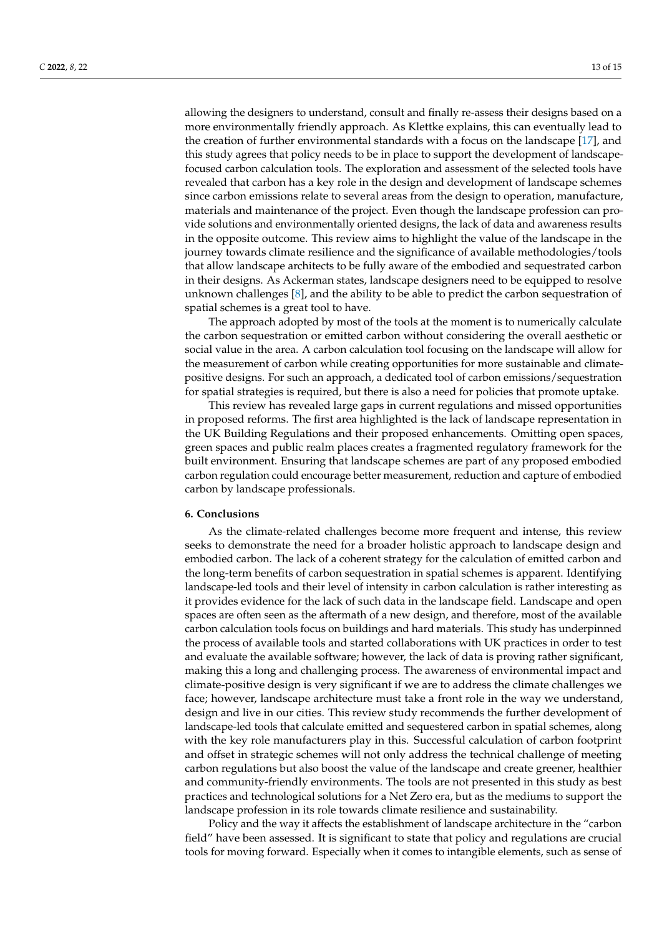allowing the designers to understand, consult and finally re-assess their designs based on a more environmentally friendly approach. As Klettke explains, this can eventually lead to the creation of further environmental standards with a focus on the landscape [\[17\]](#page-13-16), and this study agrees that policy needs to be in place to support the development of landscapefocused carbon calculation tools. The exploration and assessment of the selected tools have revealed that carbon has a key role in the design and development of landscape schemes since carbon emissions relate to several areas from the design to operation, manufacture, materials and maintenance of the project. Even though the landscape profession can provide solutions and environmentally oriented designs, the lack of data and awareness results in the opposite outcome. This review aims to highlight the value of the landscape in the journey towards climate resilience and the significance of available methodologies/tools that allow landscape architects to be fully aware of the embodied and sequestrated carbon in their designs. As Ackerman states, landscape designers need to be equipped to resolve unknown challenges [\[8\]](#page-13-7), and the ability to be able to predict the carbon sequestration of spatial schemes is a great tool to have.

The approach adopted by most of the tools at the moment is to numerically calculate the carbon sequestration or emitted carbon without considering the overall aesthetic or social value in the area. A carbon calculation tool focusing on the landscape will allow for the measurement of carbon while creating opportunities for more sustainable and climatepositive designs. For such an approach, a dedicated tool of carbon emissions/sequestration for spatial strategies is required, but there is also a need for policies that promote uptake.

This review has revealed large gaps in current regulations and missed opportunities in proposed reforms. The first area highlighted is the lack of landscape representation in the UK Building Regulations and their proposed enhancements. Omitting open spaces, green spaces and public realm places creates a fragmented regulatory framework for the built environment. Ensuring that landscape schemes are part of any proposed embodied carbon regulation could encourage better measurement, reduction and capture of embodied carbon by landscape professionals.

### **6. Conclusions**

As the climate-related challenges become more frequent and intense, this review seeks to demonstrate the need for a broader holistic approach to landscape design and embodied carbon. The lack of a coherent strategy for the calculation of emitted carbon and the long-term benefits of carbon sequestration in spatial schemes is apparent. Identifying landscape-led tools and their level of intensity in carbon calculation is rather interesting as it provides evidence for the lack of such data in the landscape field. Landscape and open spaces are often seen as the aftermath of a new design, and therefore, most of the available carbon calculation tools focus on buildings and hard materials. This study has underpinned the process of available tools and started collaborations with UK practices in order to test and evaluate the available software; however, the lack of data is proving rather significant, making this a long and challenging process. The awareness of environmental impact and climate-positive design is very significant if we are to address the climate challenges we face; however, landscape architecture must take a front role in the way we understand, design and live in our cities. This review study recommends the further development of landscape-led tools that calculate emitted and sequestered carbon in spatial schemes, along with the key role manufacturers play in this. Successful calculation of carbon footprint and offset in strategic schemes will not only address the technical challenge of meeting carbon regulations but also boost the value of the landscape and create greener, healthier and community-friendly environments. The tools are not presented in this study as best practices and technological solutions for a Net Zero era, but as the mediums to support the landscape profession in its role towards climate resilience and sustainability.

Policy and the way it affects the establishment of landscape architecture in the "carbon field" have been assessed. It is significant to state that policy and regulations are crucial tools for moving forward. Especially when it comes to intangible elements, such as sense of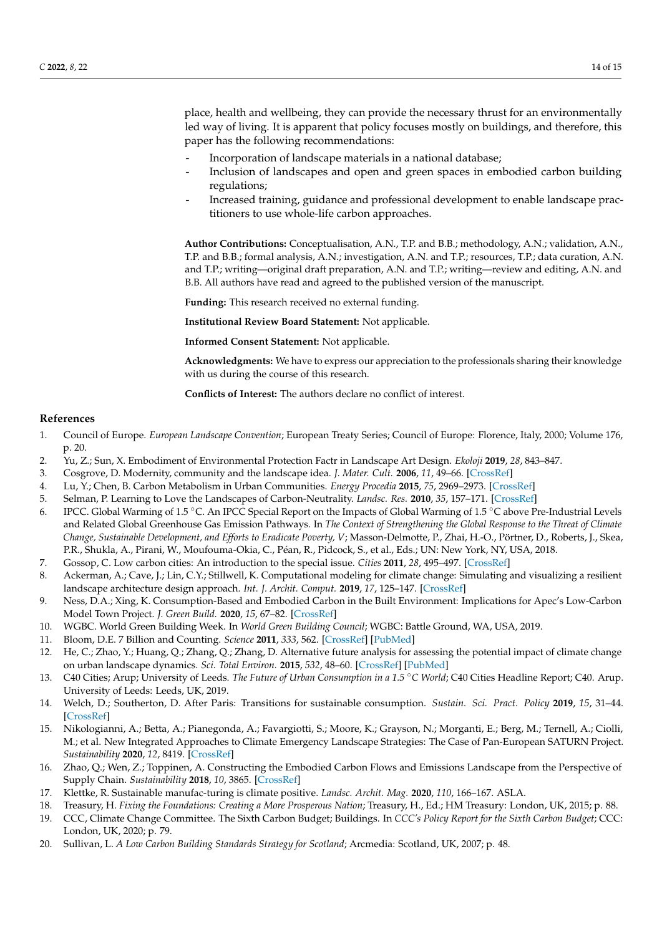place, health and wellbeing, they can provide the necessary thrust for an environmentally led way of living. It is apparent that policy focuses mostly on buildings, and therefore, this paper has the following recommendations:

- Incorporation of landscape materials in a national database;
- Inclusion of landscapes and open and green spaces in embodied carbon building regulations;
- Increased training, guidance and professional development to enable landscape practitioners to use whole-life carbon approaches.

**Author Contributions:** Conceptualisation, A.N., T.P. and B.B.; methodology, A.N.; validation, A.N., T.P. and B.B.; formal analysis, A.N.; investigation, A.N. and T.P.; resources, T.P.; data curation, A.N. and T.P.; writing—original draft preparation, A.N. and T.P.; writing—review and editing, A.N. and B.B. All authors have read and agreed to the published version of the manuscript.

**Funding:** This research received no external funding.

**Institutional Review Board Statement:** Not applicable.

**Informed Consent Statement:** Not applicable.

**Acknowledgments:** We have to express our appreciation to the professionals sharing their knowledge with us during the course of this research.

**Conflicts of Interest:** The authors declare no conflict of interest.

# **References**

- <span id="page-13-0"></span>1. Council of Europe. *European Landscape Convention*; European Treaty Series; Council of Europe: Florence, Italy, 2000; Volume 176, p. 20.
- <span id="page-13-1"></span>2. Yu, Z.; Sun, X. Embodiment of Environmental Protection Factr in Landscape Art Design. *Ekoloji* **2019**, *28*, 843–847.
- <span id="page-13-2"></span>3. Cosgrove, D. Modernity, community and the landscape idea. *J. Mater. Cult.* **2006**, *11*, 49–66. [\[CrossRef\]](http://doi.org/10.1177/1359183506062992)
- <span id="page-13-3"></span>4. Lu, Y.; Chen, B. Carbon Metabolism in Urban Communities. *Energy Procedia* **2015**, *75*, 2969–2973. [\[CrossRef\]](http://doi.org/10.1016/j.egypro.2015.07.602)
- <span id="page-13-4"></span>5. Selman, P. Learning to Love the Landscapes of Carbon-Neutrality. *Landsc. Res.* **2010**, *35*, 157–171. [\[CrossRef\]](http://doi.org/10.1080/01426390903560414)
- <span id="page-13-5"></span>6. IPCC. Global Warming of 1.5 ◦C. An IPCC Special Report on the Impacts of Global Warming of 1.5 ◦C above Pre-Industrial Levels and Related Global Greenhouse Gas Emission Pathways. In *The Context of Strengthening the Global Response to the Threat of Climate Change, Sustainable Development, and Efforts to Eradicate Poverty, V*; Masson-Delmotte, P., Zhai, H.-O., Pörtner, D., Roberts, J., Skea, P.R., Shukla, A., Pirani, W., Moufouma-Okia, C., Péan, R., Pidcock, S., et al., Eds.; UN: New York, NY, USA, 2018.
- <span id="page-13-6"></span>7. Gossop, C. Low carbon cities: An introduction to the special issue. *Cities* **2011**, *28*, 495–497. [\[CrossRef\]](http://doi.org/10.1016/j.cities.2011.09.003)
- <span id="page-13-7"></span>8. Ackerman, A.; Cave, J.; Lin, C.Y.; Stillwell, K. Computational modeling for climate change: Simulating and visualizing a resilient landscape architecture design approach. *Int. J. Archit. Comput.* **2019**, *17*, 125–147. [\[CrossRef\]](http://doi.org/10.1177/1478077119849659)
- <span id="page-13-8"></span>9. Ness, D.A.; Xing, K. Consumption-Based and Embodied Carbon in the Built Environment: Implications for Apec's Low-Carbon Model Town Project. *J. Green Build.* **2020**, *15*, 67–82. [\[CrossRef\]](http://doi.org/10.3992/jgb.15.3.67)
- <span id="page-13-9"></span>10. WGBC. World Green Building Week. In *World Green Building Council*; WGBC: Battle Ground, WA, USA, 2019.
- <span id="page-13-10"></span>11. Bloom, D.E. 7 Billion and Counting. *Science* **2011**, *333*, 562. [\[CrossRef\]](http://doi.org/10.1126/science.1209290) [\[PubMed\]](http://www.ncbi.nlm.nih.gov/pubmed/21798935)
- <span id="page-13-11"></span>12. He, C.; Zhao, Y.; Huang, Q.; Zhang, Q.; Zhang, D. Alternative future analysis for assessing the potential impact of climate change on urban landscape dynamics. *Sci. Total Environ.* **2015**, *532*, 48–60. [\[CrossRef\]](http://doi.org/10.1016/j.scitotenv.2015.05.103) [\[PubMed\]](http://www.ncbi.nlm.nih.gov/pubmed/26057724)
- <span id="page-13-12"></span>13. C40 Cities; Arup; University of Leeds. *The Future of Urban Consumption in a* 1.5 °*C World*; C40 Cities Headline Report; C40. Arup. University of Leeds: Leeds, UK, 2019.
- <span id="page-13-13"></span>14. Welch, D.; Southerton, D. After Paris: Transitions for sustainable consumption. *Sustain. Sci. Pract. Policy* **2019**, *15*, 31–44. [\[CrossRef\]](http://doi.org/10.1080/15487733.2018.1560861)
- <span id="page-13-14"></span>15. Nikologianni, A.; Betta, A.; Pianegonda, A.; Favargiotti, S.; Moore, K.; Grayson, N.; Morganti, E.; Berg, M.; Ternell, A.; Ciolli, M.; et al. New Integrated Approaches to Climate Emergency Landscape Strategies: The Case of Pan-European SATURN Project. *Sustainability* **2020**, *12*, 8419. [\[CrossRef\]](http://doi.org/10.3390/su12208419)
- <span id="page-13-15"></span>16. Zhao, Q.; Wen, Z.; Toppinen, A. Constructing the Embodied Carbon Flows and Emissions Landscape from the Perspective of Supply Chain. *Sustainability* **2018**, *10*, 3865. [\[CrossRef\]](http://doi.org/10.3390/su10113865)
- <span id="page-13-16"></span>17. Klettke, R. Sustainable manufac-turing is climate positive. *Landsc. Archit. Mag.* **2020**, *110*, 166–167. ASLA.
- <span id="page-13-17"></span>18. Treasury, H. *Fixing the Foundations: Creating a More Prosperous Nation*; Treasury, H., Ed.; HM Treasury: London, UK, 2015; p. 88.
- <span id="page-13-18"></span>19. CCC, Climate Change Committee. The Sixth Carbon Budget; Buildings. In *CCC's Policy Report for the Sixth Carbon Budget*; CCC: London, UK, 2020; p. 79.
- <span id="page-13-19"></span>20. Sullivan, L. *A Low Carbon Building Standards Strategy for Scotland*; Arcmedia: Scotland, UK, 2007; p. 48.